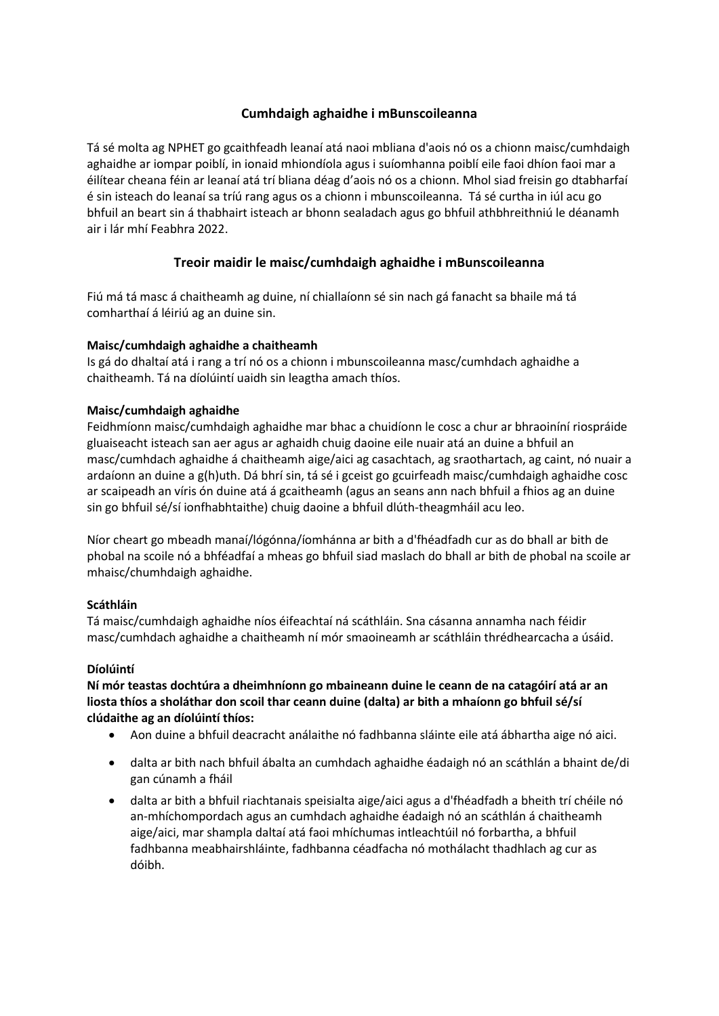# **Cumhdaigh aghaidhe i mBunscoileanna**

Tá sé molta ag NPHET go gcaithfeadh leanaí atá naoi mbliana d'aois nó os a chionn maisc/cumhdaigh aghaidhe ar iompar poiblí, in ionaid mhiondíola agus i suíomhanna poiblí eile faoi dhíon faoi mar a éilítear cheana féin ar leanaí atá trí bliana déag d'aois nó os a chionn. Mhol siad freisin go dtabharfaí é sin isteach do leanaí sa tríú rang agus os a chionn i mbunscoileanna. Tá sé curtha in iúl acu go bhfuil an beart sin á thabhairt isteach ar bhonn sealadach agus go bhfuil athbhreithniú le déanamh air i lár mhí Feabhra 2022.

# **Treoir maidir le maisc/cumhdaigh aghaidhe i mBunscoileanna**

Fiú má tá masc á chaitheamh ag duine, ní chiallaíonn sé sin nach gá fanacht sa bhaile má tá comharthaí á léiriú ag an duine sin.

## **Maisc/cumhdaigh aghaidhe a chaitheamh**

Is gá do dhaltaí atá i rang a trí nó os a chionn i mbunscoileanna masc/cumhdach aghaidhe a chaitheamh. Tá na díolúintí uaidh sin leagtha amach thíos.

### **Maisc/cumhdaigh aghaidhe**

Feidhmíonn maisc/cumhdaigh aghaidhe mar bhac a chuidíonn le cosc a chur ar bhraoiníní riospráide gluaiseacht isteach san aer agus ar aghaidh chuig daoine eile nuair atá an duine a bhfuil an masc/cumhdach aghaidhe á chaitheamh aige/aici ag casachtach, ag sraothartach, ag caint, nó nuair a ardaíonn an duine a g(h)uth. Dá bhrí sin, tá sé i gceist go gcuirfeadh maisc/cumhdaigh aghaidhe cosc ar scaipeadh an víris ón duine atá á gcaitheamh (agus an seans ann nach bhfuil a fhios ag an duine sin go bhfuil sé/sí ionfhabhtaithe) chuig daoine a bhfuil dlúth-theagmháil acu leo.

Níor cheart go mbeadh manaí/lógónna/íomhánna ar bith a d'fhéadfadh cur as do bhall ar bith de phobal na scoile nó a bhféadfaí a mheas go bhfuil siad maslach do bhall ar bith de phobal na scoile ar mhaisc/chumhdaigh aghaidhe.

## **Scáthláin**

Tá maisc/cumhdaigh aghaidhe níos éifeachtaí ná scáthláin. Sna cásanna annamha nach féidir masc/cumhdach aghaidhe a chaitheamh ní mór smaoineamh ar scáthláin thrédhearcacha a úsáid.

#### **Díolúintí**

**Ní mór teastas dochtúra a dheimhníonn go mbaineann duine le ceann de na catagóirí atá ar an liosta thíos a sholáthar don scoil thar ceann duine (dalta) ar bith a mhaíonn go bhfuil sé/sí clúdaithe ag an díolúintí thíos:** 

- Aon duine a bhfuil deacracht análaithe nó fadhbanna sláinte eile atá ábhartha aige nó aici.
- dalta ar bith nach bhfuil ábalta an cumhdach aghaidhe éadaigh nó an scáthlán a bhaint de/di gan cúnamh a fháil
- dalta ar bith a bhfuil riachtanais speisialta aige/aici agus a d'fhéadfadh a bheith trí chéile nó an-mhíchompordach agus an cumhdach aghaidhe éadaigh nó an scáthlán á chaitheamh aige/aici, mar shampla daltaí atá faoi mhíchumas intleachtúil nó forbartha, a bhfuil fadhbanna meabhairshláinte, fadhbanna céadfacha nó mothálacht thadhlach ag cur as dóibh.